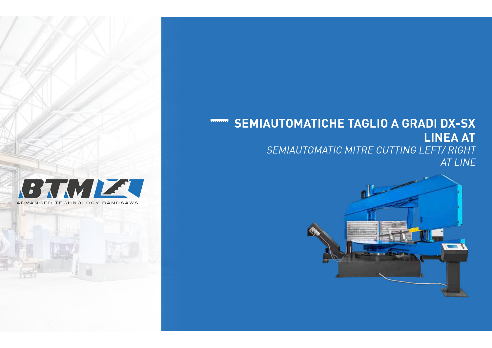# **THE SEMIAUTOMATICHE TAGLIO A GRADI DX-SX LINEA AT**  SEMIAUTOMATIC MITRE CUTTING LEFT/ RIGHT AT LINE



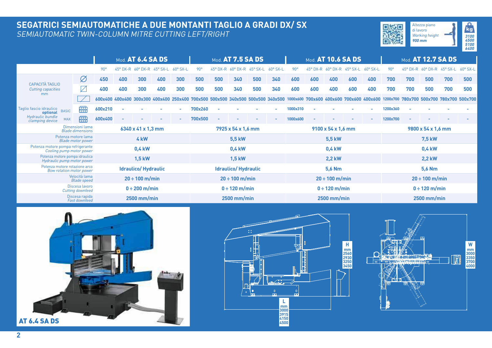## **SEGATRICI SEMIAUTOMATICHE A DUE MONTANTI TAGLIO A GRADI DX/ SX** SEMIAUTOMATIC TWIN-COLUMN MITRE CUTTING LEFT/RIGHT **And the community of the community of the community of the c**





|                                                                            |                            | Mod. AT 6.4 SA DS |                    |                   |                     |                            | Mod. AT 7.5 SA DS |                                                                                                                                                                                  |                   |                     |                   | Mod. AT 10.6 SA DS |                    |                   |                     |                   | Mod. AT 12.7 SA DS |                    |                   |                 |                   |                 |  |
|----------------------------------------------------------------------------|----------------------------|-------------------|--------------------|-------------------|---------------------|----------------------------|-------------------|----------------------------------------------------------------------------------------------------------------------------------------------------------------------------------|-------------------|---------------------|-------------------|--------------------|--------------------|-------------------|---------------------|-------------------|--------------------|--------------------|-------------------|-----------------|-------------------|-----------------|--|
|                                                                            |                            |                   | $90^{\circ}$       | $45^{\circ}$ DX-R | $60^\circ$ DX-R     | $45^{\circ}$ SX-L          | $60^{\circ}$ SX-L | $90^{\circ}$                                                                                                                                                                     | $45^{\circ}$ DX-R | $60^\circ$ DX-R     | $45^{\circ}$ SX-L | $60^{\circ}$ SX-L  | 90°                | $45^{\circ}$ DX-R | $60^\circ$ DX-R     | $45^{\circ}$ SX-L | $60^{\circ}$ SX-L  | 90°                | $45^{\circ}$ DX-R | $60^\circ$ DX-R | $45^{\circ}$ SX-L | $60^\circ$ SX-L |  |
| CAPACITÀ TAGLIO<br><b>Cutting capacities</b>                               |                            | Ø                 | 450                | 400               | 300                 | 400                        | 300               | 500                                                                                                                                                                              | 500               | 340                 | 500               | 340                | 600                | 600               | 400                 | 600               | 400                | 700                | 700               | 500             | 700               | 500             |  |
|                                                                            |                            | $\sqrt{}$         | 400                | 400               | 300                 | 400                        | 300               | 500                                                                                                                                                                              | 500               | 340                 | 500               | 340                | 600                | 600               | 400                 | 600               | 400                | 700                | 700               | 500             | 700               | 500             |  |
| mm                                                                         |                            |                   |                    |                   |                     |                            |                   | 600x400 400x400 300x300 400x400 250x400 700x500 500x500 340x500 500x500 340x500 300x600 700x600 400x600 700x600 400x600 400x600 1200x700 780x700 500x700 780x700 500x700 500x700 |                   |                     |                   |                    |                    |                   |                     |                   |                    |                    |                   |                 |                   |                 |  |
| Taglio fascio idraulico<br>optional<br>Hydraulic bundle<br>clamping device | <b>BASIC</b>               | <b>RRR</b>        | 600x210            |                   |                     |                            |                   | 700x260                                                                                                                                                                          |                   |                     |                   |                    | 1000x310           |                   |                     |                   |                    | 1200x360           |                   |                 |                   |                 |  |
|                                                                            | <b>MAX</b>                 | <b>RRB</b>        | 600x400            | ٠                 |                     |                            |                   | 700x500                                                                                                                                                                          |                   |                     |                   |                    | 1000x600           | ٠                 |                     |                   |                    | 1200x700           |                   |                 |                   |                 |  |
| Dimensioni lama<br><b>Blade dimensions</b>                                 |                            |                   | 6340 x 41 x 1,3 mm |                   |                     |                            |                   | 7925 x 54 x 1.6 mm                                                                                                                                                               |                   |                     |                   |                    | 9100 x 54 x 1.6 mm |                   |                     |                   |                    | 9800 x 54 x 1,6 mm |                   |                 |                   |                 |  |
| Potenza motore lama<br><b>Blade motor power</b>                            |                            |                   | 4 <sub>kW</sub>    |                   |                     |                            |                   | <b>5,5 kW</b>                                                                                                                                                                    |                   |                     |                   | 5,5 kW             |                    |                   |                     |                   | 7,5 kW             |                    |                   |                 |                   |                 |  |
| Potenza motore pompa refrigerante<br>Cooling pump motor power              |                            |                   | 0.4 kW             |                   |                     |                            | 0.4 kW            |                                                                                                                                                                                  |                   |                     |                   | 0,4 kW             |                    |                   |                     |                   | 0,4 kW             |                    |                   |                 |                   |                 |  |
| Potenza motore pompa idraulica<br>Hydraulic pump motor power               | <b>1,5 kW</b>              |                   |                    |                   |                     | <b>1,5 kW</b>              |                   |                                                                                                                                                                                  |                   |                     | <b>2,2 kW</b>     |                    |                    |                   |                     | <b>2,2 kW</b>     |                    |                    |                   |                 |                   |                 |  |
| Potenza motore rotazione arco<br>Bow rotation motor power                  | <b>Idraulico/Hydraulic</b> |                   |                    |                   |                     | <b>Idraulico/Hydraulic</b> |                   |                                                                                                                                                                                  |                   |                     | 5.6 Nm            |                    |                    |                   |                     | 5,6 Nm            |                    |                    |                   |                 |                   |                 |  |
|                                                                            | $20 \div 100$ m/min        |                   |                    |                   | $20 \div 100$ m/min |                            |                   |                                                                                                                                                                                  |                   | $20 \div 100$ m/min |                   |                    |                    |                   | $20 \div 100$ m/min |                   |                    |                    |                   |                 |                   |                 |  |
|                                                                            | $0 \div 200$ m/min         |                   |                    |                   | $0 \div 120$ m/min  |                            |                   |                                                                                                                                                                                  |                   | $0 \div 120$ m/min  |                   |                    |                    |                   | $0 \div 120$ m/min  |                   |                    |                    |                   |                 |                   |                 |  |
| Discesa rapida<br><b>Fast downfeed</b>                                     |                            |                   |                    | $2500$ mm/min     |                     |                            |                   |                                                                                                                                                                                  | $2500$ mm/min     |                     |                   |                    |                    | $2500$ mm/min     |                     |                   |                    |                    | $2500$ mm/min     |                 |                   |                 |  |





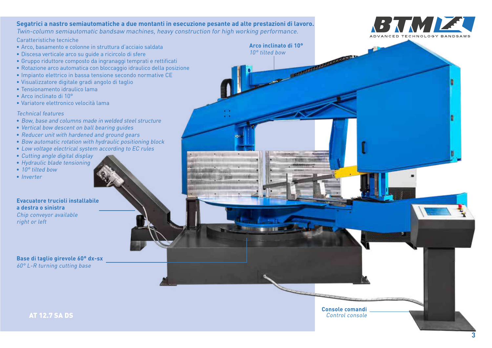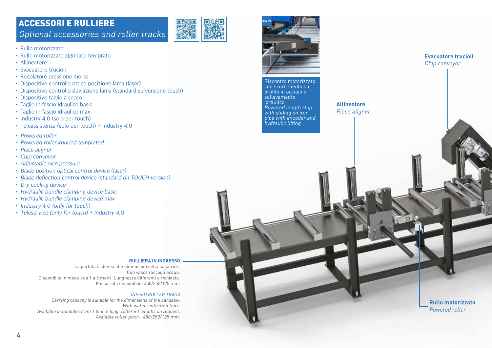## ACCESSORI E RULLIERE Optional accessories and roller tracks



- • Rullo motorizzato
- • Rullo motorizzato zigrinato temprato
- • Allineatore
- • Evacuatore trucioli
- • Regolatore pressione morse
- • Dispositivo controllo ottico posizione lama (laser)
- Dispositivo controllo deviazione lama (standard su versione touch)
- • Dispositivo taglio a secco
- Taglio in fascio idraulico basic
- Taglio in fascio idraulico max
- Industry 4.0 (solo per touch)
- Teleassistenza (solo per touch) + Industry 4.0
- Powered roller
- • Powered roller knurled temprated
- Piece aligner
- • Chip conveyor
- • Adjustable vice pressure
- Blade position optical control device (laser)
- Blade deflection control device (standard on TOUCH version)
- Dry cooling device
- • Hydraulic bundle clamping device basic
- • Hydraulic bundle clamping device max
- Industry 4.0 (only for touch)
- Teleservice (only for touch) + Industry 4.0

#### **RULLIERA IN INGRESSO**

La portata è idonea alle dimensioni della segatrice. Con vasca raccogli acqua. Disponibile in moduli da 1 a 6 metri. Lunghezze differenti a richiesta. Passo rulli disponibile: 450/250/125 mm.

#### INFEED ROLLER TRACK

Carrying capacity is suitable for the dimensions of the bandsaw. With water collection tank. Available in modules from 1 to 6 m long. Different lengths on request. Avaiable roller pitch : 450/250/125 mm.



hydraulic lifting

**Allineatore** Piece aligner

> **Rullo motorizzato**  Powered roller

**Evacuatore trucioli**  Chip conveyor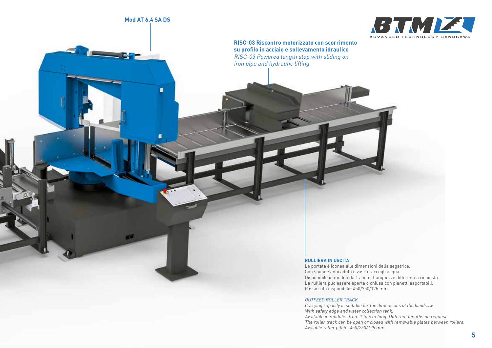### **Mod AT 6.4 SA DS**

g.



**RISC-03 Riscontro motorizzato con scorrimento su profilo in acciaio e sollevamento idraulico** RISC-03 Powered length stop with sliding on iron pipe and hydraulic lifting

#### **RULLIERA IN USCITA**

La portata è idonea alle dimensioni della segatrice. Con sponde anticaduta e vasca raccogli acqua. Disponibile in moduli da 1 a 6 m. Lunghezze differenti a richiesta. La rulliera può essere aperta o chiusa con pianetti asportabili. Passo rulli disponibile: 450/250/125 mm.

#### OUTFEED ROLLER TRACK

Carrying capacity is suitable for the dimensions of the bandsaw. With safety edge and water collection tank. Available in modules from 1 to 6 m long. Different lengths on request. The roller track can be open or closed with removable plates between rollers. Avaiable roller pitch : 450/250/125 mm.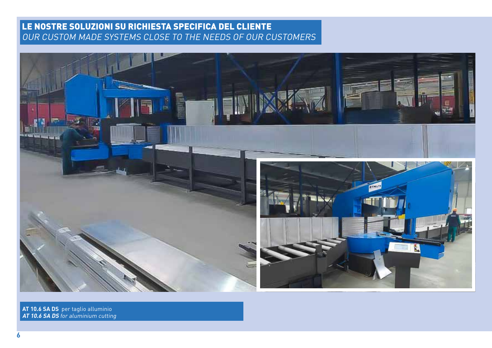## LE NOSTRE SOLUZIONI SU RICHIESTA SPECIFICA DEL CLIENTE OUR CUSTOM MADE SYSTEMS CLOSE TO THE NEEDS OF OUR CUSTOMERS



**AT 10.6 SA DS** per taglio alluminio **AT 10.6 SA DS** for aluminium cutting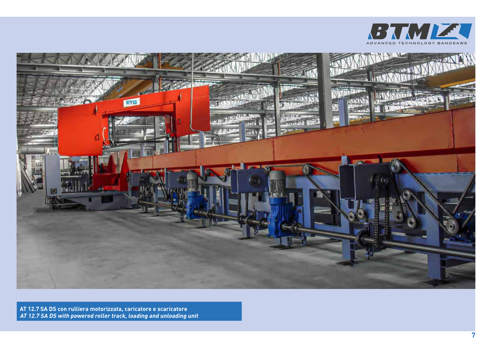



**AT 12.7 SA DS con rulliera motorizzata, caricatore e scaricatore AT 12.7 SA DS with powered roller track, loading and unloading unit**